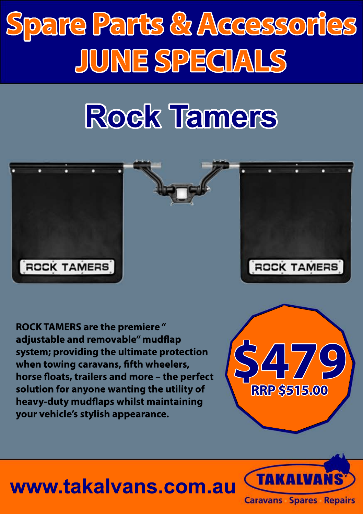## **Rock Tamers**



**ROCK TAMERS are the premiere " adjustable and removable" mudflap system; providing the ultimate protection** when towing caravans, fifth wheelers, horse floats, trailers and more - the perfect **solution for anyone wanting the utility of heavy-duty mudflaps whilst maintaining your vehicle's stylish appearance.**



#### **www.takalvans.com.au**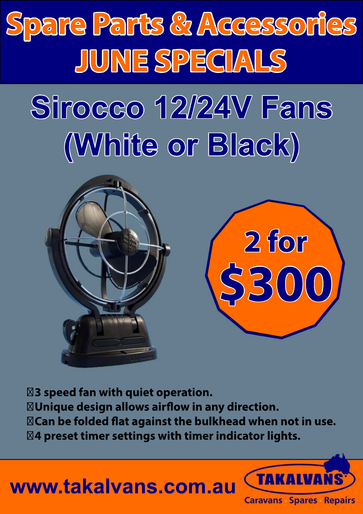

 **3 speed fan with quiet operation.** *N***Unique design allows airflow in any direction.**  $\boxtimes$  Can be folded flat against the bulkhead when not in use.  **4 preset timer settings with timer indicator lights.**

**\$300**

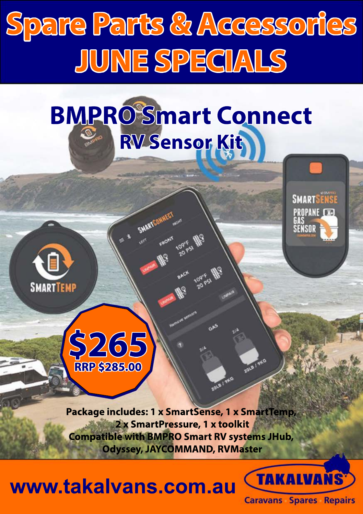## **BMPRO Smart Connect RV Sensor Kit**





**Package includes: 1 x SmartSense, 1 x SmartTemp, 2 x SmartPressure, 1 x toolkit Compatible with BMPRO Smart RV systems JHub, Odyssey, JAYCOMMAND, RVMaster**

**2018 | SKO** 

**WWW.takalvans.com.au CARALVANS** 



**SMARTSFNSF PROPANE CEN**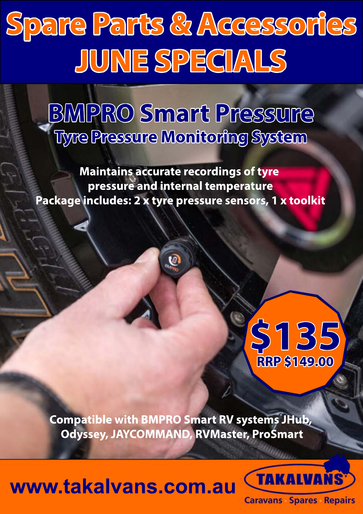#### **BMPRO Smart Pressure Tyre Pressure Monitoring System**

**Maintains accurate recordings of tyre pressure and internal temperature Package includes: 2 x tyre pressure sensors, 1 x toolkit**

 $\bar{\mathcal{O}}$ 

### **\$135 RRP \$149.00**

**Compatible with BMPRO Smart RV systems JHub, Odyssey, JAYCOMMAND, RVMaster, ProSmart**

#### **www.takalvans.com.au**

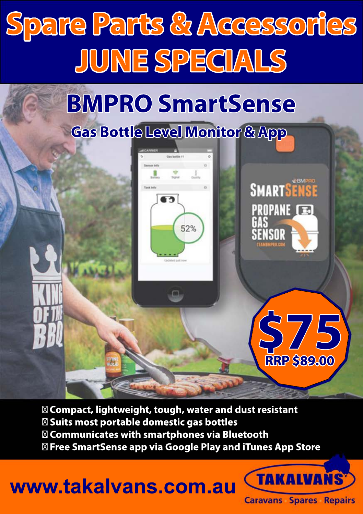

#### **BMPRO SmartSense**

#### **Gas Bottle Level Monitor & App**



 **Compact, lightweight, tough, water and dust resistant Suits most portable domestic gas bottles Communicates with smartphones via Bluetooth**

 **Free SmartSense app via Google Play and iTunes App Store**

#### **www.takalvans.com.au CARALVANS**



**\$75**

**RRP \$89.00**

**SMARTSENSE** 

**PROPANE E** 

..........<br>GAS<br>Sensor